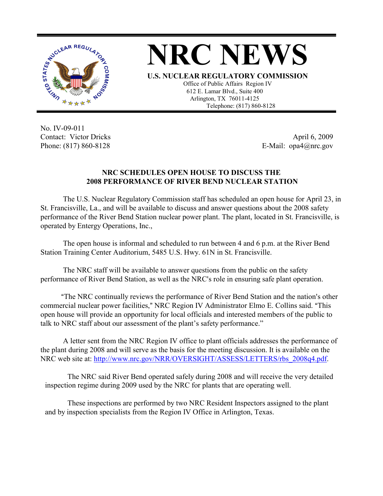

**NRC NEWS**

**U.S. NUCLEAR REGULATORY COMMISSION** Office of Public Affairs Region IV 612 E. Lamar Blvd., Suite 400 Arlington, TX 76011-4125 Telephone: (817) 860-8128

No. IV-09-011 Contact: Victor Dricks Phone: (817) 860-8128

April 6, 2009 E-Mail: opa4@nrc.gov

## **NRC SCHEDULES OPEN HOUSE TO DISCUSS THE 2008 PERFORMANCE OF RIVER BEND NUCLEAR STATION**

The U.S. Nuclear Regulatory Commission staff has scheduled an open house for April 23, in St. Francisville, La., and will be available to discuss and answer questions about the 2008 safety performance of the River Bend Station nuclear power plant. The plant, located in St. Francisville, is operated by Entergy Operations, Inc.,

The open house is informal and scheduled to run between 4 and 6 p.m. at the River Bend Station Training Center Auditorium, 5485 U.S. Hwy. 61N in St. Francisville.

The NRC staff will be available to answer questions from the public on the safety performance of River Bend Station, as well as the NRC's role in ensuring safe plant operation.

"The NRC continually reviews the performance of River Bend Station and the nation's other commercial nuclear power facilities," NRC Region IV Administrator Elmo E. Collins said. "This open house will provide an opportunity for local officials and interested members of the public to talk to NRC staff about our assessment of the plant's safety performance."

A letter sent from the NRC Region IV office to plant officials addresses the performance of the plant during 2008 and will serve as the basis for the meeting discussion. It is available on the NRC web site at: http://www.nrc.gov/NRR/OVERSIGHT/ASSESS/LETTERS/rbs\_2008q4.pdf.

The NRC said River Bend operated safely during 2008 and will receive the very detailed inspection regime during 2009 used by the NRC for plants that are operating well.

These inspections are performed by two NRC Resident Inspectors assigned to the plant and by inspection specialists from the Region IV Office in Arlington, Texas.